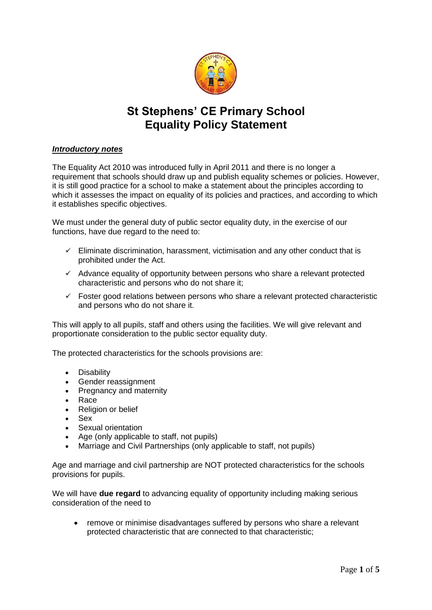

# **St Stephens' CE Primary School Equality Policy Statement**

## *Introductory notes*

The Equality Act 2010 was introduced fully in April 2011 and there is no longer a requirement that schools should draw up and publish equality schemes or policies. However, it is still good practice for a school to make a statement about the principles according to which it assesses the impact on equality of its policies and practices, and according to which it establishes specific objectives.

We must under the general duty of public sector equality duty, in the exercise of our functions, have due regard to the need to:

- $\checkmark$  Eliminate discrimination, harassment, victimisation and any other conduct that is prohibited under the Act.
- $\checkmark$  Advance equality of opportunity between persons who share a relevant protected characteristic and persons who do not share it;
- $\checkmark$  Foster good relations between persons who share a relevant protected characteristic and persons who do not share it.

This will apply to all pupils, staff and others using the facilities. We will give relevant and proportionate consideration to the public sector equality duty.

The protected characteristics for the schools provisions are:

- Disability
- Gender reassignment
- Pregnancy and maternity
- Race
- Religion or belief
- Sex
- Sexual orientation
- Age (only applicable to staff, not pupils)
- Marriage and Civil Partnerships (only applicable to staff, not pupils)

Age and marriage and civil partnership are NOT protected characteristics for the schools provisions for pupils.

We will have **due regard** to advancing equality of opportunity including making serious consideration of the need to

• remove or minimise disadvantages suffered by persons who share a relevant protected characteristic that are connected to that characteristic;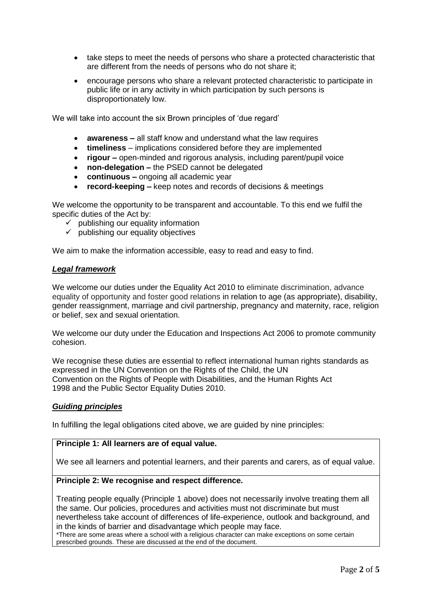- take steps to meet the needs of persons who share a protected characteristic that are different from the needs of persons who do not share it;
- encourage persons who share a relevant protected characteristic to participate in public life or in any activity in which participation by such persons is disproportionately low.

We will take into account the six Brown principles of 'due regard'

- **awareness –** all staff know and understand what the law requires
- **timeliness**  implications considered before they are implemented
- **rigour –** open-minded and rigorous analysis, including parent/pupil voice
- **non-delegation –** the PSED cannot be delegated
- **continuous –** ongoing all academic year
- **record-keeping –** keep notes and records of decisions & meetings

We welcome the opportunity to be transparent and accountable. To this end we fulfil the specific duties of the Act by:

- $\checkmark$  publishing our equality information
- $\checkmark$  publishing our equality objectives

We aim to make the information accessible, easy to read and easy to find.

## *Legal framework*

We welcome our duties under the Equality Act 2010 to eliminate discrimination, advance equality of opportunity and foster good relations in relation to age (as appropriate), disability, gender reassignment, marriage and civil partnership, pregnancy and maternity, race, religion or belief, sex and sexual orientation.

We welcome our duty under the Education and Inspections Act 2006 to promote community cohesion.

We recognise these duties are essential to reflect international human rights standards as expressed in the UN Convention on the Rights of the Child, the UN Convention on the Rights of People with Disabilities, and the Human Rights Act 1998 and the Public Sector Equality Duties 2010.

## *Guiding principles*

In fulfilling the legal obligations cited above, we are guided by nine principles:

## **Principle 1: All learners are of equal value.**

We see all learners and potential learners, and their parents and carers, as of equal value.

## **Principle 2: We recognise and respect difference.**

Treating people equally (Principle 1 above) does not necessarily involve treating them all the same. Our policies, procedures and activities must not discriminate but must nevertheless take account of differences of life-experience, outlook and background, and in the kinds of barrier and disadvantage which people may face.

\*There are some areas where a school with a religious character can make exceptions on some certain prescribed grounds. These are discussed at the end of the document.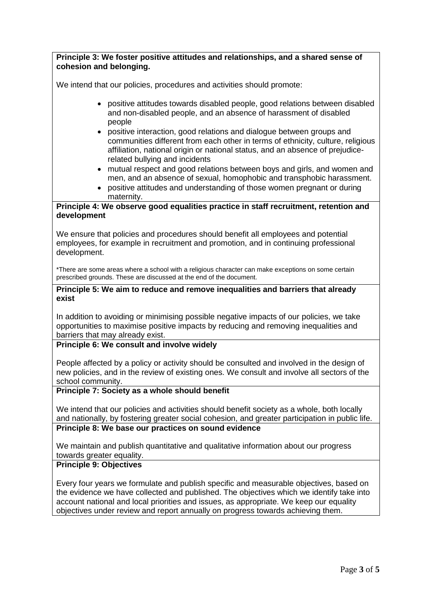| Principle 3: We foster positive attitudes and relationships, and a shared sense of<br>cohesion and belonging.                                                                                                                                                                                                                                                   |
|-----------------------------------------------------------------------------------------------------------------------------------------------------------------------------------------------------------------------------------------------------------------------------------------------------------------------------------------------------------------|
|                                                                                                                                                                                                                                                                                                                                                                 |
| We intend that our policies, procedures and activities should promote:                                                                                                                                                                                                                                                                                          |
| positive attitudes towards disabled people, good relations between disabled<br>and non-disabled people, and an absence of harassment of disabled<br>people                                                                                                                                                                                                      |
| positive interaction, good relations and dialogue between groups and<br>communities different from each other in terms of ethnicity, culture, religious<br>affiliation, national origin or national status, and an absence of prejudice-<br>related bullying and incidents                                                                                      |
| mutual respect and good relations between boys and girls, and women and<br>٠<br>men, and an absence of sexual, homophobic and transphobic harassment.<br>positive attitudes and understanding of those women pregnant or during<br>$\bullet$<br>maternity.                                                                                                      |
| Principle 4: We observe good equalities practice in staff recruitment, retention and                                                                                                                                                                                                                                                                            |
| development                                                                                                                                                                                                                                                                                                                                                     |
| We ensure that policies and procedures should benefit all employees and potential<br>employees, for example in recruitment and promotion, and in continuing professional<br>development.                                                                                                                                                                        |
| *There are some areas where a school with a religious character can make exceptions on some certain<br>prescribed grounds. These are discussed at the end of the document.                                                                                                                                                                                      |
| Principle 5: We aim to reduce and remove inequalities and barriers that already                                                                                                                                                                                                                                                                                 |
| exist                                                                                                                                                                                                                                                                                                                                                           |
| In addition to avoiding or minimising possible negative impacts of our policies, we take<br>opportunities to maximise positive impacts by reducing and removing inequalities and<br>barriers that may already exist.                                                                                                                                            |
| Principle 6: We consult and involve widely                                                                                                                                                                                                                                                                                                                      |
| People affected by a policy or activity should be consulted and involved in the design of<br>new policies, and in the review of existing ones. We consult and involve all sectors of the<br>school community.                                                                                                                                                   |
| Principle 7: Society as a whole should benefit                                                                                                                                                                                                                                                                                                                  |
| We intend that our policies and activities should benefit society as a whole, both locally<br>and nationally, by fostering greater social cohesion, and greater participation in public life.                                                                                                                                                                   |
| Principle 8: We base our practices on sound evidence                                                                                                                                                                                                                                                                                                            |
| We maintain and publish quantitative and qualitative information about our progress<br>towards greater equality.                                                                                                                                                                                                                                                |
| <b>Principle 9: Objectives</b>                                                                                                                                                                                                                                                                                                                                  |
| Every four years we formulate and publish specific and measurable objectives, based on<br>the evidence we have collected and published. The objectives which we identify take into<br>account national and local priorities and issues, as appropriate. We keep our equality<br>objectives under review and report annually on progress towards achieving them. |
|                                                                                                                                                                                                                                                                                                                                                                 |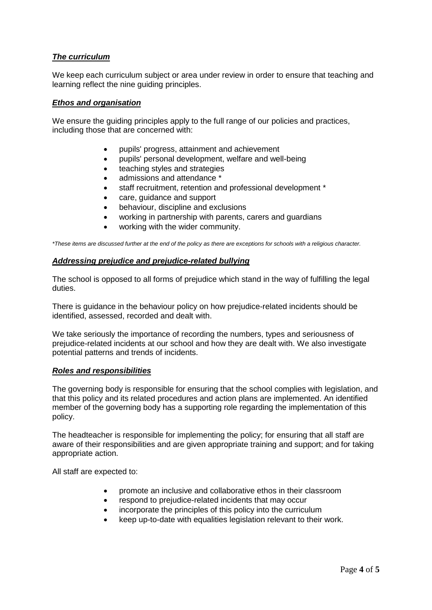## *The curriculum*

We keep each curriculum subject or area under review in order to ensure that teaching and learning reflect the nine guiding principles.

## *Ethos and organisation*

We ensure the guiding principles apply to the full range of our policies and practices, including those that are concerned with:

- pupils' progress, attainment and achievement
- pupils' personal development, welfare and well-being
- teaching styles and strategies
- admissions and attendance \*
- staff recruitment, retention and professional development \*
- care, guidance and support
- behaviour, discipline and exclusions
- working in partnership with parents, carers and guardians
- working with the wider community.

*\*These items are discussed further at the end of the policy as there are exceptions for schools with a religious character.*

## *Addressing prejudice and prejudice-related bullying*

The school is opposed to all forms of prejudice which stand in the way of fulfilling the legal duties.

There is guidance in the behaviour policy on how prejudice-related incidents should be identified, assessed, recorded and dealt with.

We take seriously the importance of recording the numbers, types and seriousness of prejudice-related incidents at our school and how they are dealt with. We also investigate potential patterns and trends of incidents.

## *Roles and responsibilities*

The governing body is responsible for ensuring that the school complies with legislation, and that this policy and its related procedures and action plans are implemented. An identified member of the governing body has a supporting role regarding the implementation of this policy.

The headteacher is responsible for implementing the policy; for ensuring that all staff are aware of their responsibilities and are given appropriate training and support; and for taking appropriate action.

All staff are expected to:

- promote an inclusive and collaborative ethos in their classroom
- respond to prejudice-related incidents that may occur
- incorporate the principles of this policy into the curriculum
- keep up-to-date with equalities legislation relevant to their work.